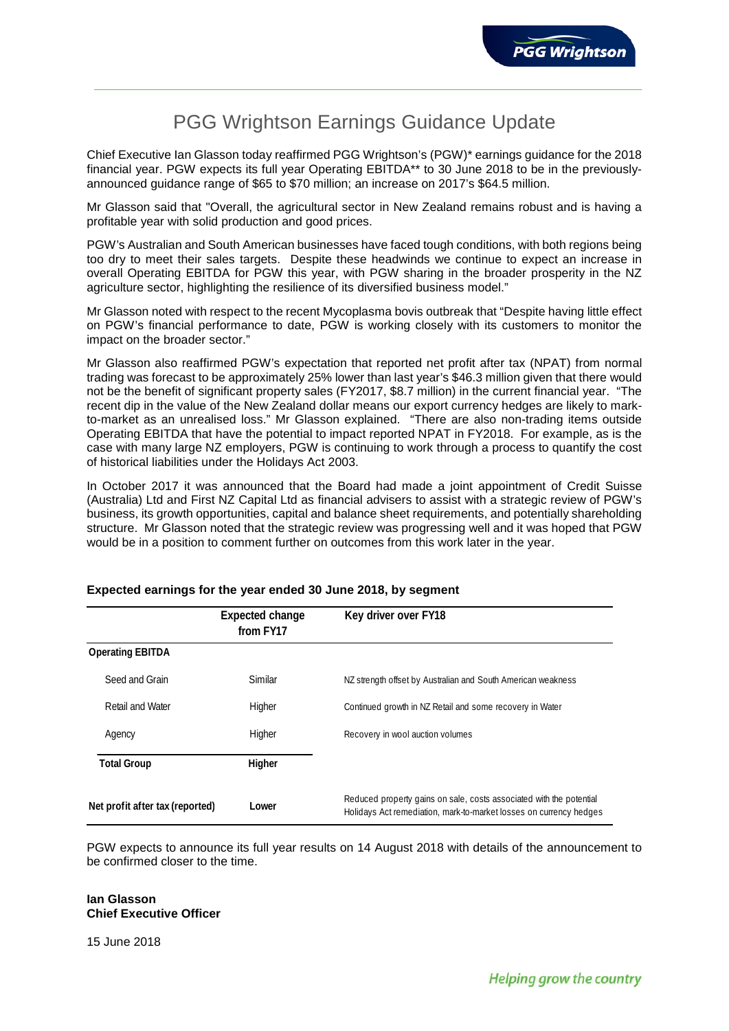# PGG Wrightson Earnings Guidance Update

Chief Executive Ian Glasson today reaffirmed PGG Wrightson's (PGW)\* earnings guidance for the 2018 financial year. PGW expects its full year Operating EBITDA\*\* to 30 June 2018 to be in the previouslyannounced guidance range of \$65 to \$70 million; an increase on 2017's \$64.5 million.

Mr Glasson said that "Overall, the agricultural sector in New Zealand remains robust and is having a profitable year with solid production and good prices.

PGW's Australian and South American businesses have faced tough conditions, with both regions being too dry to meet their sales targets. Despite these headwinds we continue to expect an increase in overall Operating EBITDA for PGW this year, with PGW sharing in the broader prosperity in the NZ agriculture sector, highlighting the resilience of its diversified business model."

Mr Glasson noted with respect to the recent Mycoplasma bovis outbreak that "Despite having little effect on PGW's financial performance to date, PGW is working closely with its customers to monitor the impact on the broader sector."

Mr Glasson also reaffirmed PGW's expectation that reported net profit after tax (NPAT) from normal trading was forecast to be approximately 25% lower than last year's \$46.3 million given that there would not be the benefit of significant property sales (FY2017, \$8.7 million) in the current financial year. "The recent dip in the value of the New Zealand dollar means our export currency hedges are likely to markto-market as an unrealised loss." Mr Glasson explained. "There are also non-trading items outside Operating EBITDA that have the potential to impact reported NPAT in FY2018. For example, as is the case with many large NZ employers, PGW is continuing to work through a process to quantify the cost of historical liabilities under the Holidays Act 2003.

In October 2017 it was announced that the Board had made a joint appointment of Credit Suisse (Australia) Ltd and First NZ Capital Ltd as financial advisers to assist with a strategic review of PGW's business, its growth opportunities, capital and balance sheet requirements, and potentially shareholding structure. Mr Glasson noted that the strategic review was progressing well and it was hoped that PGW would be in a position to comment further on outcomes from this work later in the year.

|                                 | Expected change<br>from FY17 | Key driver over FY18                                                                                                                      |
|---------------------------------|------------------------------|-------------------------------------------------------------------------------------------------------------------------------------------|
| <b>Operating EBITDA</b>         |                              |                                                                                                                                           |
| Seed and Grain                  | Similar                      | NZ strength offset by Australian and South American weakness                                                                              |
| Retail and Water                | Higher                       | Continued growth in NZ Retail and some recovery in Water                                                                                  |
| Agency                          | Higher                       | Recovery in wool auction volumes                                                                                                          |
| <b>Total Group</b>              | Higher                       |                                                                                                                                           |
| Net profit after tax (reported) | Lower                        | Reduced property gains on sale, costs associated with the potential<br>Holidays Act remediation, mark-to-market losses on currency hedges |

## **Expected earnings for the year ended 30 June 2018, by segment**

PGW expects to announce its full year results on 14 August 2018 with details of the announcement to be confirmed closer to the time.

## **Ian Glasson Chief Executive Officer**

15 June 2018